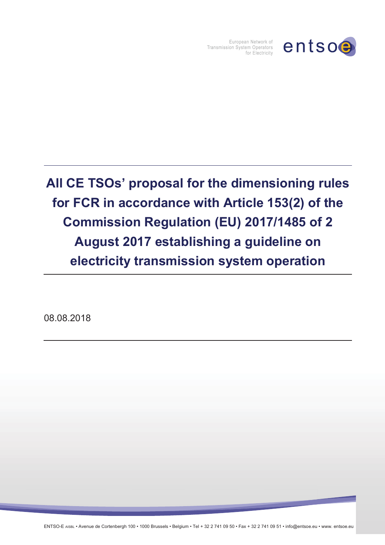

European Network of Transmission System Operators for Electricity

# **All CE TSOsí proposal for the dimensioning rules for FCR in accordance with Article 153(2) of the Commission Regulation (EU) 2017/1485 of 2 August 2017 establishing a guideline on electricity transmission system operation**

08.08.2018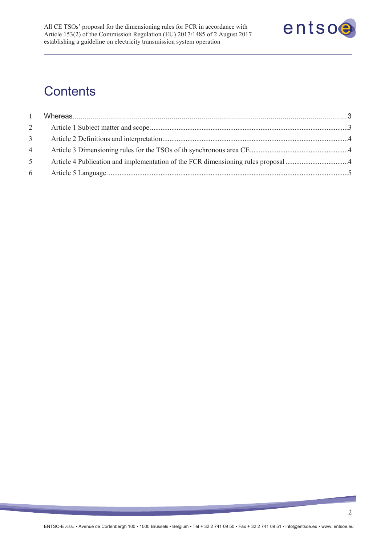

## **Contents**

| $\overline{2}$ |  |
|----------------|--|
| 3 <sup>7</sup> |  |
| $\overline{4}$ |  |
| 5 <sup>5</sup> |  |
| 6              |  |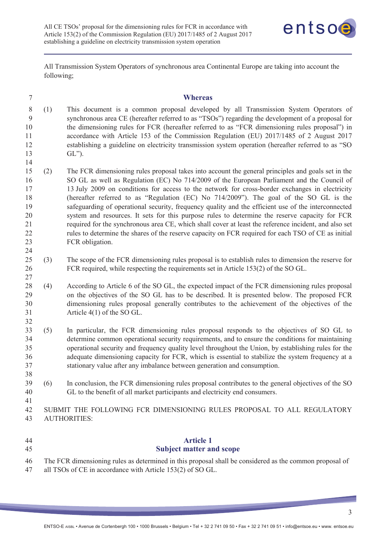

All Transmission System Operators of synchronous area Continental Europe are taking into account the following;

14

24

27

32

38

41

### 7 **Whereas**

- 8 (1) This document is a common proposal developed by all Transmission System Operators of 9 synchronous area CE (hereafter referred to as "TSOs") regarding the development of a proposal for 10 the dimensioning rules for FCR (hereafter referred to as "FCR dimensioning rules proposal") in 11 accordance with Article 153 of the Commission Regulation (EU) 2017/1485 of 2 August 2017 12 establishing a guideline on electricity transmission system operation (hereafter referred to as "SO 13 GL").
- 15 (2) The FCR dimensioning rules proposal takes into account the general principles and goals set in the 16 SO GL as well as Regulation (EC) No 714/2009 of the European Parliament and the Council of 17 13 July 2009 on conditions for access to the network for cross-border exchanges in electricity 18 (hereafter referred to as "Regulation (EC) No 714/2009"). The goal of the SO GL is the 19 safeguarding of operational security, frequency quality and the efficient use of the interconnected 20 system and resources. It sets for this purpose rules to determine the reserve capacity for FCR 21 required for the synchronous area CE, which shall cover at least the reference incident, and also set 22 rules to determine the shares of the reserve capacity on FCR required for each TSO of CE as initial 23 FCR obligation.
- 25 (3) The scope of the FCR dimensioning rules proposal is to establish rules to dimension the reserve for 26 FCR required, while respecting the requirements set in Article 153(2) of the SO GL.
- 28 (4) According to Article 6 of the SO GL, the expected impact of the FCR dimensioning rules proposal 29 on the objectives of the SO GL has to be described. It is presented below. The proposed FCR 30 dimensioning rules proposal generally contributes to the achievement of the objectives of the 31 Article 4(1) of the SO GL.
- 33 (5) In particular, the FCR dimensioning rules proposal responds to the objectives of SO GL to 34 determine common operational security requirements, and to ensure the conditions for maintaining 35 operational security and frequency quality level throughout the Union, by establishing rules for the 36 adequate dimensioning capacity for FCR, which is essential to stabilize the system frequency at a 37 stationary value after any imbalance between generation and consumption.
- 39 (6) In conclusion, the FCR dimensioning rules proposal contributes to the general objectives of the SO 40 GL to the benefit of all market participants and electricity end consumers.
- 42 SUBMIT THE FOLLOWING FCR DIMENSIONING RULES PROPOSAL TO ALL REGULATORY 43 AUTHORITIES:
- 

#### 44 **Article 1**  45 **Subject matter and scope**

- 46 The FCR dimensioning rules as determined in this proposal shall be considered as the common proposal of
- 47 all TSOs of CE in accordance with Article 153(2) of SO GL.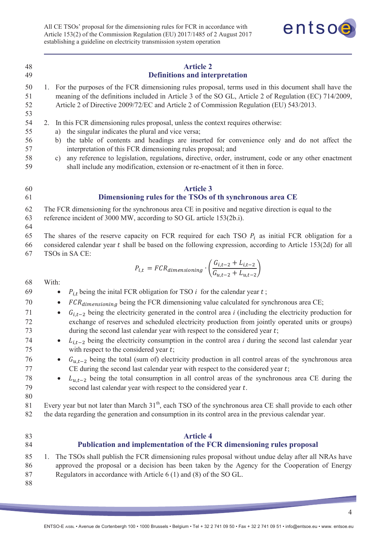

| 48                                                                                     | <b>Article 2</b>                                                                                                                                                                                                                                                                                                                                                                                                                                                                                                                                                                                                                                                                                                                                                                                                                                                                                                                                                                                                                                                                                                                                                                                                                                                                                              |
|----------------------------------------------------------------------------------------|---------------------------------------------------------------------------------------------------------------------------------------------------------------------------------------------------------------------------------------------------------------------------------------------------------------------------------------------------------------------------------------------------------------------------------------------------------------------------------------------------------------------------------------------------------------------------------------------------------------------------------------------------------------------------------------------------------------------------------------------------------------------------------------------------------------------------------------------------------------------------------------------------------------------------------------------------------------------------------------------------------------------------------------------------------------------------------------------------------------------------------------------------------------------------------------------------------------------------------------------------------------------------------------------------------------|
| 49                                                                                     | <b>Definitions and interpretation</b>                                                                                                                                                                                                                                                                                                                                                                                                                                                                                                                                                                                                                                                                                                                                                                                                                                                                                                                                                                                                                                                                                                                                                                                                                                                                         |
| 50                                                                                     | 1. For the purposes of the FCR dimensioning rules proposal, terms used in this document shall have the                                                                                                                                                                                                                                                                                                                                                                                                                                                                                                                                                                                                                                                                                                                                                                                                                                                                                                                                                                                                                                                                                                                                                                                                        |
| 51                                                                                     | meaning of the definitions included in Article 3 of the SO GL, Article 2 of Regulation (EC) 714/2009,                                                                                                                                                                                                                                                                                                                                                                                                                                                                                                                                                                                                                                                                                                                                                                                                                                                                                                                                                                                                                                                                                                                                                                                                         |
| 52                                                                                     | Article 2 of Directive 2009/72/EC and Article 2 of Commission Regulation (EU) 543/2013.                                                                                                                                                                                                                                                                                                                                                                                                                                                                                                                                                                                                                                                                                                                                                                                                                                                                                                                                                                                                                                                                                                                                                                                                                       |
| 53                                                                                     | In this FCR dimensioning rules proposal, unless the context requires otherwise:                                                                                                                                                                                                                                                                                                                                                                                                                                                                                                                                                                                                                                                                                                                                                                                                                                                                                                                                                                                                                                                                                                                                                                                                                               |
| 54                                                                                     | 2.                                                                                                                                                                                                                                                                                                                                                                                                                                                                                                                                                                                                                                                                                                                                                                                                                                                                                                                                                                                                                                                                                                                                                                                                                                                                                                            |
| 55                                                                                     | a) the singular indicates the plural and vice versa;                                                                                                                                                                                                                                                                                                                                                                                                                                                                                                                                                                                                                                                                                                                                                                                                                                                                                                                                                                                                                                                                                                                                                                                                                                                          |
| 56                                                                                     | b) the table of contents and headings are inserted for convenience only and do not affect the                                                                                                                                                                                                                                                                                                                                                                                                                                                                                                                                                                                                                                                                                                                                                                                                                                                                                                                                                                                                                                                                                                                                                                                                                 |
| 57                                                                                     | interpretation of this FCR dimensioning rules proposal; and                                                                                                                                                                                                                                                                                                                                                                                                                                                                                                                                                                                                                                                                                                                                                                                                                                                                                                                                                                                                                                                                                                                                                                                                                                                   |
| 58                                                                                     | c) any reference to legislation, regulations, directive, order, instrument, code or any other enactment                                                                                                                                                                                                                                                                                                                                                                                                                                                                                                                                                                                                                                                                                                                                                                                                                                                                                                                                                                                                                                                                                                                                                                                                       |
| 59                                                                                     | shall include any modification, extension or re-enactment of it then in force.                                                                                                                                                                                                                                                                                                                                                                                                                                                                                                                                                                                                                                                                                                                                                                                                                                                                                                                                                                                                                                                                                                                                                                                                                                |
| 60                                                                                     | <b>Article 3</b>                                                                                                                                                                                                                                                                                                                                                                                                                                                                                                                                                                                                                                                                                                                                                                                                                                                                                                                                                                                                                                                                                                                                                                                                                                                                                              |
| 61                                                                                     | Dimensioning rules for the TSOs of th synchronous area CE                                                                                                                                                                                                                                                                                                                                                                                                                                                                                                                                                                                                                                                                                                                                                                                                                                                                                                                                                                                                                                                                                                                                                                                                                                                     |
| 62                                                                                     | The FCR dimensioning for the synchronous area CE in positive and negative direction is equal to the                                                                                                                                                                                                                                                                                                                                                                                                                                                                                                                                                                                                                                                                                                                                                                                                                                                                                                                                                                                                                                                                                                                                                                                                           |
| 63                                                                                     | reference incident of 3000 MW, according to SO GL article 153(2b.i).                                                                                                                                                                                                                                                                                                                                                                                                                                                                                                                                                                                                                                                                                                                                                                                                                                                                                                                                                                                                                                                                                                                                                                                                                                          |
| 64<br>65<br>66<br>67                                                                   | The shares of the reserve capacity on FCR required for each TSO $P_i$ as initial FCR obligation for a<br>considered calendar year $t$ shall be based on the following expression, according to Article 153(2d) for all<br>TSOs in SA CE:                                                                                                                                                                                                                                                                                                                                                                                                                                                                                                                                                                                                                                                                                                                                                                                                                                                                                                                                                                                                                                                                      |
|                                                                                        | $P_{i,t} = FCR_{dimensioning} \cdot \left(\frac{G_{i,t-2} + L_{i,t-2}}{G_{u,t-2} + L_{u,t-2}}\right)$                                                                                                                                                                                                                                                                                                                                                                                                                                                                                                                                                                                                                                                                                                                                                                                                                                                                                                                                                                                                                                                                                                                                                                                                         |
| 68<br>69<br>70<br>71<br>72<br>73<br>74<br>75<br>76<br>77<br>78<br>79<br>80<br>81<br>82 | With:<br>$P_{i,t}$ being the initial FCR obligation for TSO <i>i</i> for the calendar year <i>t</i> ;<br>$FCR_{dimensioning}$ being the FCR dimensioning value calculated for synchronous area CE;<br>$\bullet$<br>$G_{i,t-2}$ being the electricity generated in the control area <i>i</i> (including the electricity production for<br>$\bullet$<br>exchange of reserves and scheduled electricity production from jointly operated units or groups)<br>during the second last calendar year with respect to the considered year $t$ ;<br>• $L_{i,t-2}$ being the electricity consumption in the control area <i>i</i> during the second last calendar year<br>with respect to the considered year $t$ ;<br>$G_{u,t-2}$ being the total (sum of) electricity production in all control areas of the synchronous area<br>CE during the second last calendar year with respect to the considered year $t$ ;<br>$L_{u,t-2}$ being the total consumption in all control areas of the synchronous area CE during the<br>second last calendar year with respect to the considered year t.<br>Every year but not later than March $31th$ , each TSO of the synchronous area CE shall provide to each other<br>the data regarding the generation and consumption in its control area in the previous calendar year. |
| 83                                                                                     | <b>Article 4</b>                                                                                                                                                                                                                                                                                                                                                                                                                                                                                                                                                                                                                                                                                                                                                                                                                                                                                                                                                                                                                                                                                                                                                                                                                                                                                              |
| 84                                                                                     | Publication and implementation of the FCR dimensioning rules proposal                                                                                                                                                                                                                                                                                                                                                                                                                                                                                                                                                                                                                                                                                                                                                                                                                                                                                                                                                                                                                                                                                                                                                                                                                                         |
| 85                                                                                     | The TSOs shall publish the FCR dimensioning rules proposal without undue delay after all NRAs have                                                                                                                                                                                                                                                                                                                                                                                                                                                                                                                                                                                                                                                                                                                                                                                                                                                                                                                                                                                                                                                                                                                                                                                                            |
| 86                                                                                     | 1.                                                                                                                                                                                                                                                                                                                                                                                                                                                                                                                                                                                                                                                                                                                                                                                                                                                                                                                                                                                                                                                                                                                                                                                                                                                                                                            |
| 87                                                                                     | approved the proposal or a decision has been taken by the Agency for the Cooperation of Energy                                                                                                                                                                                                                                                                                                                                                                                                                                                                                                                                                                                                                                                                                                                                                                                                                                                                                                                                                                                                                                                                                                                                                                                                                |
| 88                                                                                     | Regulators in accordance with Article $6(1)$ and $(8)$ of the SO GL.                                                                                                                                                                                                                                                                                                                                                                                                                                                                                                                                                                                                                                                                                                                                                                                                                                                                                                                                                                                                                                                                                                                                                                                                                                          |